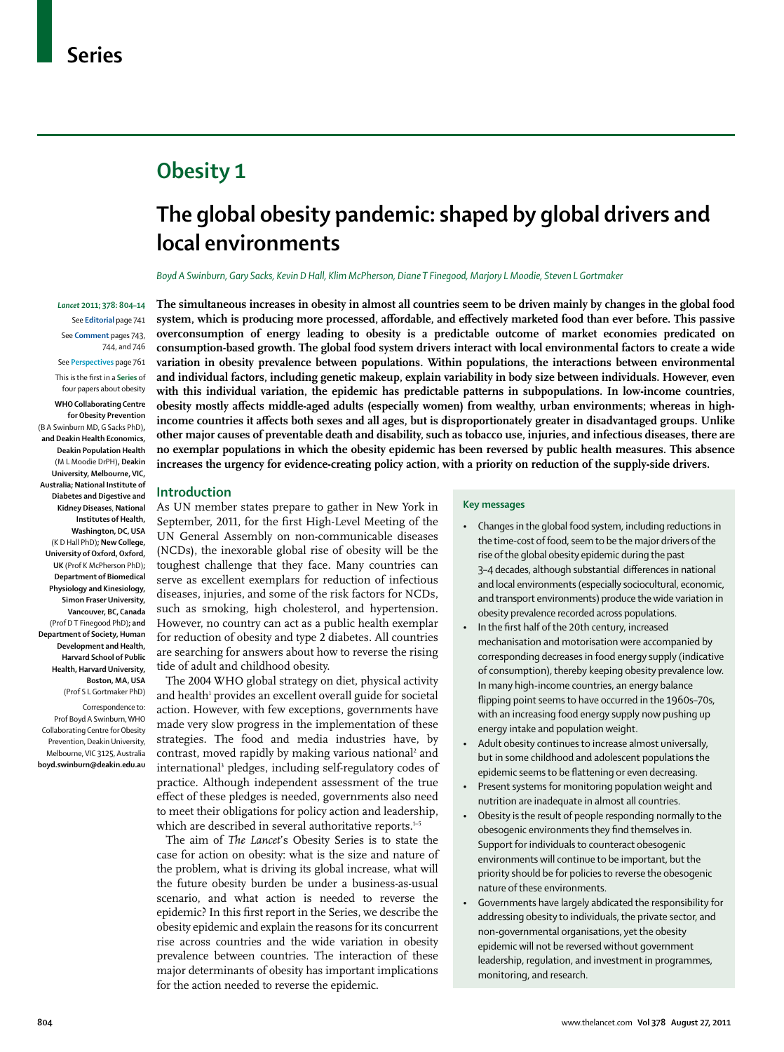## **Obesity 1**

# **The global obesity pandemic: shaped by global drivers and local environments**

*Boyd A Swinburn, Gary Sacks, Kevin D Hall, Klim McPherson, Diane T Finegood, Marjory L Moodie, Steven L Gortmaker*

*Lancet* **2011; 378: 804–14** See **Editorial** page 741 See **Comment** pages 743, 744, and 746 See **Perspectives** page 761 This is the fi rst in a **Series** of four papers about obesity

**WHO Collaborating Centre for Obesity Prevention**  (B A Swinburn MD, G Sacks PhD)**, and Deakin Health Economics, Deakin Population Health**  (M L Moodie DrPH)**, Deakin University, Melbourne, VIC, Australia; National Institute of Diabetes and Digestive and Kidney Diseases**, **National Institutes of Health, Washington, DC, USA** (K D Hall PhD)**; New College, University of Oxford, Oxford, UK** (Prof K McPherson PhD)**; Department of Biomedical Physiology and Kinesiology, Simon Fraser University, Vancouver, BC, Canada** (Prof D T Finegood PhD)**; and Department of Society, Human Development and Health, Harvard School of Public Health, Harvard University, Boston, MA, USA** (Prof S L Gortmaker PhD)

Correspondence to: Prof Boyd A Swinburn, WHO Collaborating Centre for Obesity Prevention, Deakin University, Melbourne, VIC 3125, Australia **boyd.swinburn@deakin.edu.au** **The simultaneous increases in obesity in almost all countries seem to be driven mainly by changes in the global food**  system, which is producing more processed, affordable, and effectively marketed food than ever before. This passive **overconsumption of energy leading to obesity is a predictable outcome of market economies predicated on consumption-based growth. The global food system drivers interact with local environmental factors to create a wide variation in obesity prevalence between populations. Within populations, the interactions between environmental and individual factors, including genetic makeup, explain variability in body size between individuals. However, even with this individual variation, the epidemic has predictable patterns in subpopulations. In low-income countries, obesity mostly aff ects middle-aged adults (especially women) from wealthy, urban environments; whereas in high**income countries it affects both sexes and all ages, but is disproportionately greater in disadvantaged groups. Unlike **other major causes of preventable death and disability, such as tobacco use, injuries, and infectious diseases, there are no exemplar populations in which the obesity epidemic has been reversed by public health measures. This absence increases the urgency for evidence-creating policy action, with a priority on reduction of the supply-side drivers.**

## **Introduction**

As UN member states prepare to gather in New York in September, 2011, for the first High-Level Meeting of the UN General Assembly on non-communicable diseases (NCDs), the inexorable global rise of obesity will be the toughest challenge that they face. Many countries can serve as excellent exemplars for reduction of infectious diseases, injuries, and some of the risk factors for NCDs, such as smoking, high cholesterol, and hypertension. However, no country can act as a public health exemplar for reduction of obesity and type 2 diabetes. All countries are searching for answers about how to reverse the rising tide of adult and childhood obesity.

The 2004 WHO global strategy on diet, physical activity and health<sup>1</sup> provides an excellent overall guide for societal action. However, with few exceptions, governments have made very slow progress in the implementation of these strategies. The food and media industries have, by contrast, moved rapidly by making various national<sup>2</sup> and international3 pledges, including self-regulatory codes of practice. Although independent assessment of the true effect of these pledges is needed, governments also need to meet their obligations for policy action and leadership, which are described in several authoritative reports.<sup>1-5</sup>

The aim of *The Lancet*'s Obesity Series is to state the case for action on obesity: what is the size and nature of the problem, what is driving its global increase, what will the future obesity burden be under a business-as-usual scenario, and what action is needed to reverse the epidemic? In this first report in the Series, we describe the obesity epidemic and explain the reasons for its concurrent rise across countries and the wide variation in obesity prevalence between countries. The interaction of these major determinants of obesity has important implications for the action needed to reverse the epidemic.

#### **Key messages**

- Changes in the global food system, including reductions in the time-cost of food, seem to be the major drivers of the rise of the global obesity epidemic during the past 3-4 decades, although substantial differences in national and local environments (especially sociocultural, economic, and transport environments) produce the wide variation in obesity prevalence recorded across populations.
- In the first half of the 20th century, increased mechanisation and motorisation were accompanied by corresponding decreases in food energy supply (indicative of consumption), thereby keeping obesity prevalence low. In many high-income countries, an energy balance flipping point seems to have occurred in the 1960s-70s, with an increasing food energy supply now pushing up energy intake and population weight.
- Adult obesity continues to increase almost universally, but in some childhood and adolescent populations the epidemic seems to be flattening or even decreasing.
- Present systems for monitoring population weight and nutrition are inadequate in almost all countries.
- Obesity is the result of people responding normally to the obesogenic environments they find themselves in. Support for individuals to counteract obesogenic environments will continue to be important, but the priority should be for policies to reverse the obesogenic nature of these environments.
- Governments have largely abdicated the responsibility for addressing obesity to individuals, the private sector, and non-governmental organisations, yet the obesity epidemic will not be reversed without government leadership, regulation, and investment in programmes, monitoring, and research.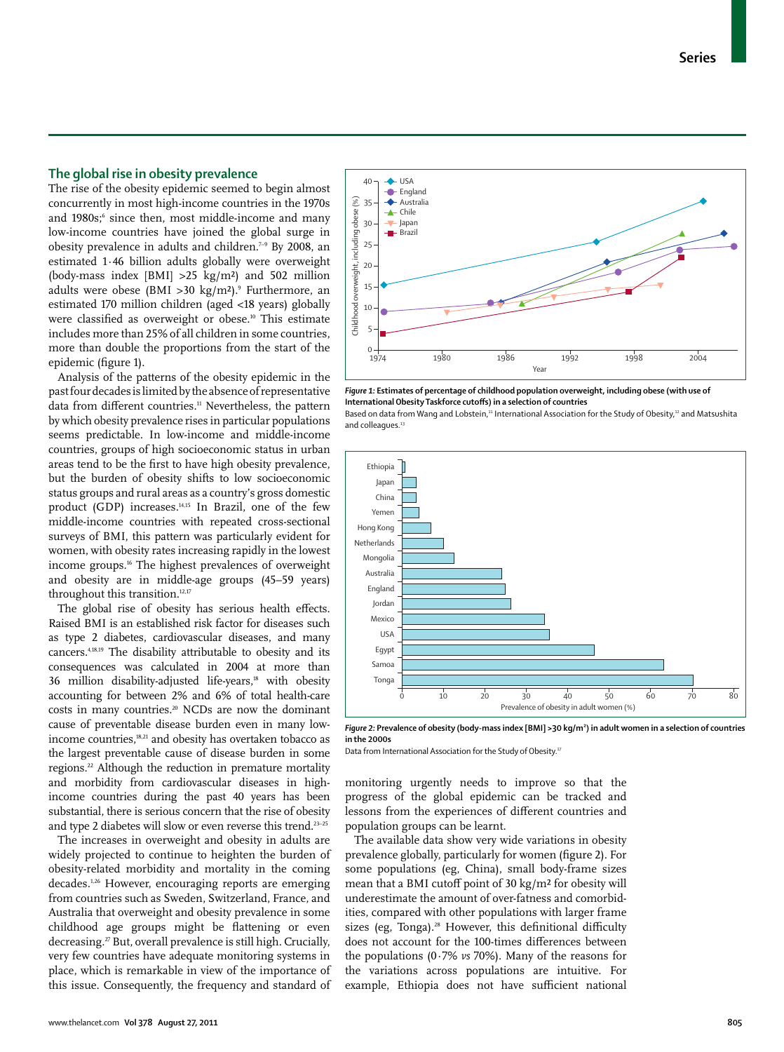## **The global rise in obesity prevalence**

The rise of the obesity epidemic seemed to begin almost concurrently in most high-income countries in the 1970s and 1980s;<sup>6</sup> since then, most middle-income and many low-income countries have joined the global surge in obesity prevalence in adults and children.7–9 By 2008, an estimated 1·46 billion adults globally were overweight (body-mass index  $[BMI] >25$  kg/m<sup>2</sup>) and 502 million adults were obese (BMI >30 kg/m<sup>2</sup>).º Furthermore, an estimated 170 million children (aged <18 years) globally were classified as overweight or obese.<sup>10</sup> This estimate includes more than 25% of all children in some countries, more than double the proportions from the start of the epidemic (figure 1).

Analysis of the patterns of the obesity epidemic in the past four decades is limited by the absence of representative data from different countries.<sup>11</sup> Nevertheless, the pattern by which obesity prevalence rises in particular populations seems predictable. In low-income and middle-income countries, groups of high socioeconomic status in urban areas tend to be the first to have high obesity prevalence, but the burden of obesity shifts to low socioeconomic status groups and rural areas as a country's gross domestic product (GDP) increases.<sup>14,15</sup> In Brazil, one of the few middle-income countries with repeated cross-sectional surveys of BMI, this pattern was particularly evident for women, with obesity rates increasing rapidly in the lowest income groups.16 The highest prevalences of overweight and obesity are in middle-age groups (45–59 years) throughout this transition.<sup>12,17</sup>

The global rise of obesity has serious health effects. Raised BMI is an established risk factor for diseases such as type 2 diabetes, cardiovascular diseases, and many cancers.4,18,19 The disability attributable to obesity and its consequences was calculated in 2004 at more than 36 million disability-adjusted life-years,<sup>18</sup> with obesity accounting for between 2% and 6% of total health-care costs in many countries.<sup>20</sup> NCDs are now the dominant cause of preventable disease burden even in many lowincome countries,<sup>18,21</sup> and obesity has overtaken tobacco as the largest preventable cause of disease burden in some regions.22 Although the reduction in premature mortality and morbidity from cardiovascular diseases in highincome countries during the past 40 years has been substantial, there is serious concern that the rise of obesity and type 2 diabetes will slow or even reverse this trend.<sup>23-25</sup>

The increases in overweight and obesity in adults are widely projected to continue to heighten the burden of obesity-related morbidity and mortality in the coming decades.1,26 However, encouraging reports are emerging from countries such as Sweden, Switzerland, France, and Australia that overweight and obesity prevalence in some childhood age groups might be flattening or even decreasing.<sup>27</sup> But, overall prevalence is still high. Crucially, very few countries have adequate monitoring systems in place, which is remarkable in view of the importance of this issue. Consequently, the frequency and standard of



*Figure 1:* **Estimates of percentage of childhood population overweight, including obese (with use of International Obesity Taskforce cutoffs) in a selection of countries** Based on data from Wang and Lobstein,<sup>11</sup> International Association for the Study of Obesity,<sup>12</sup> and Matsushita



*Figure 2:* **Prevalence of obesity (body-mass index [BMI] >30 kg/m²) in adult women in a selection of countries in the 2000s**

Data from International Association for the Study of Obesity.<sup>17</sup>

and colleagues.<sup>13</sup>

monitoring urgently needs to improve so that the progress of the global epidemic can be tracked and lessons from the experiences of different countries and population groups can be learnt.

The available data show very wide variations in obesity prevalence globally, particularly for women (figure 2). For some populations (eg, China), small body-frame sizes mean that a BMI cutoff point of 30 kg/m² for obesity will underestimate the amount of over-fatness and comorbidities, compared with other populations with larger frame sizes (eg, Tonga).<sup>28</sup> However, this definitional difficulty does not account for the 100-times differences between the populations (0·7% *vs* 70%). Many of the reasons for the variations across populations are intuitive. For example, Ethiopia does not have sufficient national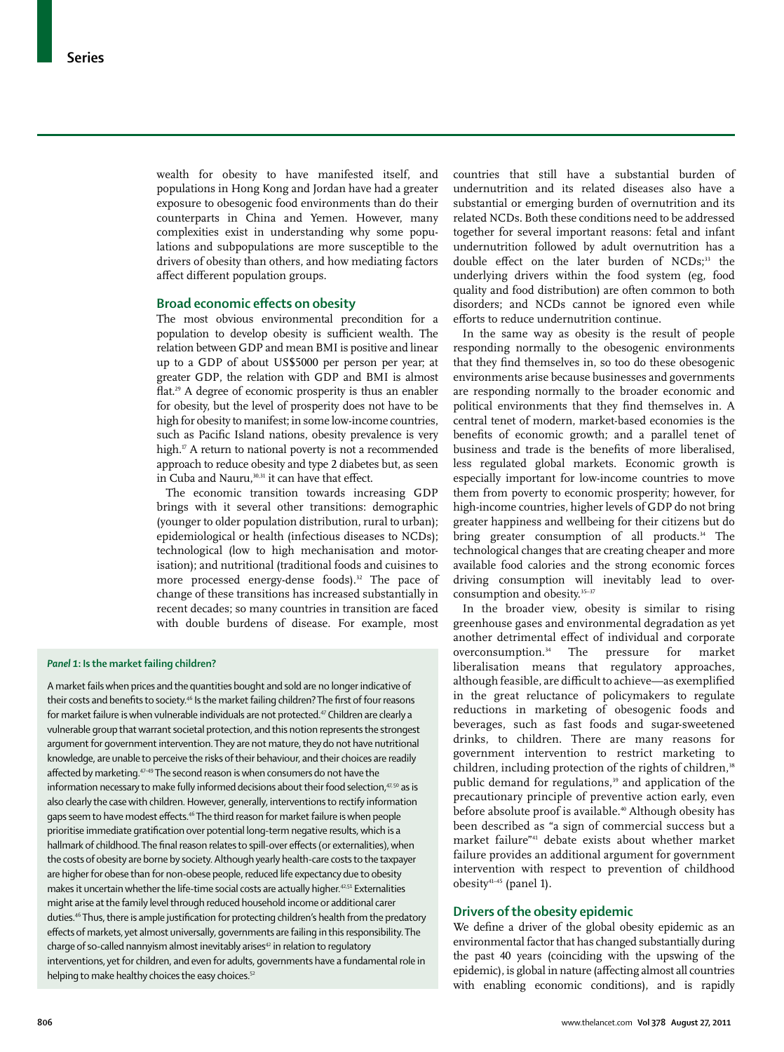wealth for obesity to have manifested itself, and populations in Hong Kong and Jordan have had a greater exposure to obesogenic food environments than do their counterparts in China and Yemen. However, many complexities exist in understanding why some populations and subpopulations are more susceptible to the drivers of obesity than others, and how mediating factors affect different population groups.

## **Broad economic effects on obesity**

The most obvious environmental precondition for a population to develop obesity is sufficient wealth. The relation between GDP and mean BMI is positive and linear up to a GDP of about US\$5000 per person per year; at greater GDP, the relation with GDP and BMI is almost flat.<sup>29</sup> A degree of economic prosperity is thus an enabler for obesity, but the level of prosperity does not have to be high for obesity to manifest; in some low-income countries, such as Pacific Island nations, obesity prevalence is very high.<sup>17</sup> A return to national poverty is not a recommended approach to reduce obesity and type 2 diabetes but, as seen in Cuba and Nauru,<sup>30,31</sup> it can have that effect.

The economic transition towards increasing GDP brings with it several other transitions: demographic (younger to older population distribution, rural to urban); epidemiological or health (infectious diseases to NCDs); technological (low to high mechanisation and motorisation); and nutritional (traditional foods and cuisines to more processed energy-dense foods).<sup>32</sup> The pace of change of these transitions has increased substantially in recent decades; so many countries in transition are faced with double burdens of disease. For example, most

## *Panel 1***: Is the market failing children?**

A market fails when prices and the quantities bought and sold are no longer indicative of their costs and benefits to society.<sup>46</sup> Is the market failing children? The first of four reasons for market failure is when vulnerable individuals are not protected.<sup>47</sup> Children are clearly a vulnerable group that warrant societal protection, and this notion represents the strongest argument for government intervention. They are not mature, they do not have nutritional knowledge, are unable to perceive the risks of their behaviour, and their choices are readily affected by marketing.<sup>47-49</sup> The second reason is when consumers do not have the information necessary to make fully informed decisions about their food selection, $47,50$  as is also clearly the case with children. However, generally, interventions to rectify information gaps seem to have modest effects.<sup>46</sup> The third reason for market failure is when people prioritise immediate gratification over potential long-term negative results, which is a hallmark of childhood. The final reason relates to spill-over effects (or externalities), when the costs of obesity are borne by society. Although yearly health-care costs to the taxpayer are higher for obese than for non-obese people, reduced life expectancy due to obesity makes it uncertain whether the life-time social costs are actually higher.<sup>42,51</sup> Externalities might arise at the family level through reduced household income or additional carer duties.<sup>46</sup> Thus, there is ample justification for protecting children's health from the predatory effects of markets, yet almost universally, governments are failing in this responsibility. The charge of so-called nannyism almost inevitably arises<sup>42</sup> in relation to regulatory interventions, yet for children, and even for adults, governments have a fundamental role in helping to make healthy choices the easy choices.<sup>52</sup>

countries that still have a substantial burden of undernutrition and its related diseases also have a substantial or emerging burden of overnutrition and its related NCDs. Both these conditions need to be addressed together for several important reasons: fetal and infant undernutrition followed by adult overnutrition has a double effect on the later burden of NCDs;<sup>33</sup> the underlying drivers within the food system (eg, food quality and food distribution) are often common to both disorders; and NCDs cannot be ignored even while efforts to reduce undernutrition continue.

In the same way as obesity is the result of people responding normally to the obesogenic environments that they find themselves in, so too do these obesogenic environments arise because businesses and governments are responding normally to the broader economic and political environments that they find themselves in. A central tenet of modern, market-based economies is the benefits of economic growth; and a parallel tenet of business and trade is the benefits of more liberalised, less regulated global markets. Economic growth is especially important for low-income countries to move them from poverty to economic prosperity; however, for high-income countries, higher levels of GDP do not bring greater happiness and wellbeing for their citizens but do bring greater consumption of all products.<sup>34</sup> The technological changes that are creating cheaper and more available food calories and the strong economic forces driving consumption will inevitably lead to overconsumption and obesity.<sup>35-37</sup>

In the broader view, obesity is similar to rising greenhouse gases and environmental degradation as yet another detrimental effect of individual and corporate overconsumption.34 The pressure for market liberalisation means that regulatory approaches, although feasible, are difficult to achieve—as exemplified in the great reluctance of policymakers to regulate reductions in marketing of obesogenic foods and beverages, such as fast foods and sugar-sweetened drinks, to children. There are many reasons for government intervention to restrict marketing to children, including protection of the rights of children,<sup>38</sup> public demand for regulations,<sup>39</sup> and application of the precautionary principle of preventive action early, even before absolute proof is available.<sup>40</sup> Although obesity has been described as "a sign of commercial success but a market failure"41 debate exists about whether market failure provides an additional argument for government intervention with respect to prevention of childhood obesity $41-45$  (panel 1).

## **Drivers of the obesity epidemic**

We define a driver of the global obesity epidemic as an environmental factor that has changed substantially during the past 40 years (coinciding with the upswing of the epidemic), is global in nature (affecting almost all countries with enabling economic conditions), and is rapidly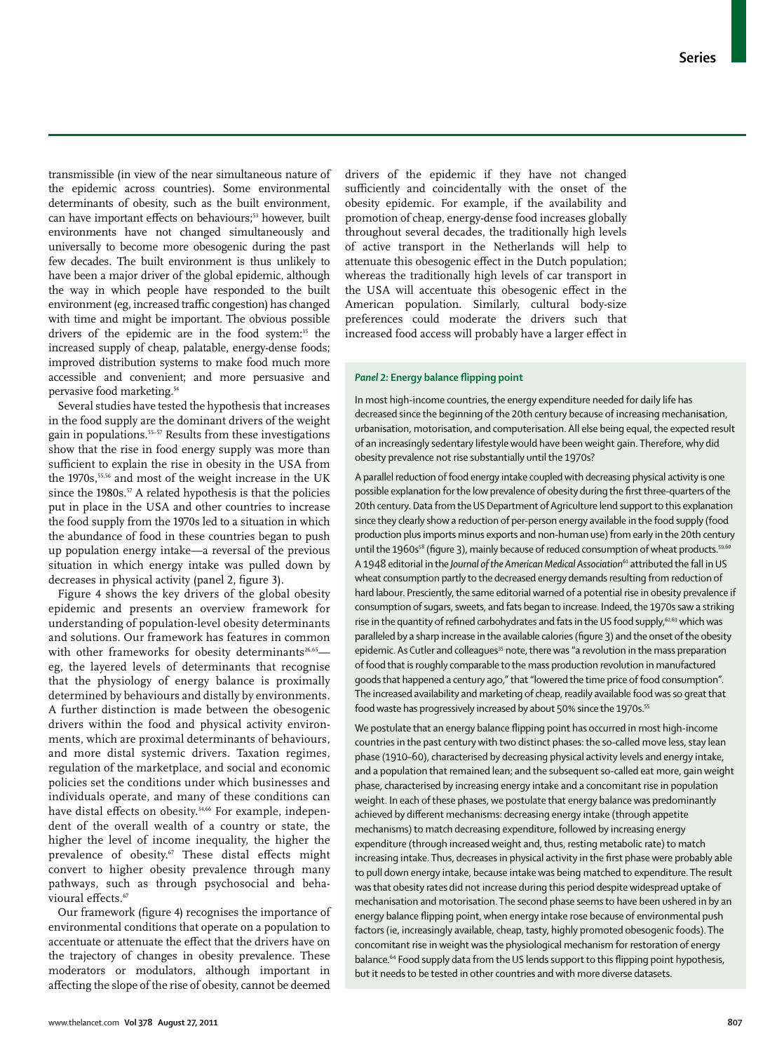transmissible (in view of the near simultaneous nature of the epidemic across countries). Some environmental determinants of obesity, such as the built environment, can have important effects on behaviours;<sup>53</sup> however, built environments have not changed simultaneously and universally to become more obesogenic during the past few decades. The built environment is thus unlikely to have been a major driver of the global epidemic, although the way in which people have responded to the built environment (eg, increased traffic congestion) has changed with time and might be important. The obvious possible drivers of the epidemic are in the food system:<sup>35</sup> the increased supply of cheap, palatable, energy-dense foods; improved distribution systems to make food much more accessible and convenient; and more persuasive and pervasive food marketing.54

Several studies have tested the hypothesis that increases in the food supply are the dominant drivers of the weight gain in populations.55–57 Results from these investigations show that the rise in food energy supply was more than sufficient to explain the rise in obesity in the USA from the 1970s,<sup>55,56</sup> and most of the weight increase in the UK since the 1980s. $57$  A related hypothesis is that the policies put in place in the USA and other countries to increase the food supply from the 1970s led to a situation in which the abundance of food in these countries began to push up population energy intake—a reversal of the previous situation in which energy intake was pulled down by decreases in physical activity (panel 2, figure 3).

Figure 4 shows the key drivers of the global obesity epidemic and presents an overview framework for understanding of population-level obesity determinants and solutions. Our framework has features in common with other frameworks for obesity determinants<sup>26,65</sup>eg, the layered levels of determinants that recognise that the physiology of energy balance is proximally determined by behaviours and distally by environments. A further distinction is made between the obesogenic drivers within the food and physical activity environments, which are proximal determinants of behaviours, and more distal systemic drivers. Taxation regimes, regulation of the marketplace, and social and economic policies set the conditions under which businesses and individuals operate, and many of these conditions can have distal effects on obesity.<sup>34,66</sup> For example, independent of the overall wealth of a country or state, the higher the level of income inequality, the higher the prevalence of obesity.<sup>67</sup> These distal effects might convert to higher obesity prevalence through many pathways, such as through psychosocial and behavioural effects.<sup>67</sup>

Our framework (figure 4) recognises the importance of environmental conditions that operate on a population to accentuate or attenuate the effect that the drivers have on the trajectory of changes in obesity prevalence. These moderators or modulators, although important in affecting the slope of the rise of obesity, cannot be deemed

drivers of the epidemic if they have not changed sufficiently and coincidentally with the onset of the obesity epidemic. For example, if the availability and promotion of cheap, energy-dense food increases globally throughout several decades, the traditionally high levels of active transport in the Netherlands will help to attenuate this obesogenic effect in the Dutch population; whereas the traditionally high levels of car transport in the USA will accentuate this obesogenic effect in the American population. Similarly, cultural body-size preferences could moderate the drivers such that increased food access will probably have a larger effect in

#### **Panel 2: Energy balance flipping point**

In most high-income countries, the energy expenditure needed for daily life has decreased since the beginning of the 20th century because of increasing mechanisation, urbanisation, motorisation, and computerisation. All else being equal, the expected result of an increasingly sedentary lifestyle would have been weight gain. Therefore, why did obesity prevalence not rise substantially until the 1970s?

A parallel reduction of food energy intake coupled with decreasing physical activity is one possible explanation for the low prevalence of obesity during the first three-quarters of the 20th century. Data from the US Department of Agriculture lend support to this explanation since they clearly show a reduction of per-person energy available in the food supply (food production plus imports minus exports and non-human use) from early in the 20th century until the 1960s<sup>58</sup> (fiqure 3), mainly because of reduced consumption of wheat products.<sup>59,6</sup> A 1948 editorial in the *Journal of the American Medical Association*61 attributed the fall in US wheat consumption partly to the decreased energy demands resulting from reduction of hard labour. Presciently, the same editorial warned of a potential rise in obesity prevalence if consumption of sugars, sweets, and fats began to increase. Indeed, the 1970s saw a striking rise in the quantity of refined carbohydrates and fats in the US food supply,<sup>62,63</sup> which was paralleled by a sharp increase in the available calories (figure 3) and the onset of the obesity epidemic. As Cutler and colleagues<sup>35</sup> note, there was "a revolution in the mass preparation of food that is roughly comparable to the mass production revolution in manufactured goods that happened a century ago," that "lowered the time price of food consumption". The increased availability and marketing of cheap, readily available food was so great that food waste has progressively increased by about 50% since the 1970s.<sup>55</sup>

We postulate that an energy balance flipping point has occurred in most high-income countries in the past century with two distinct phases: the so-called move less, stay lean phase (1910–60), characterised by decreasing physical activity levels and energy intake, and a population that remained lean; and the subsequent so-called eat more, gain weight phase, characterised by increasing energy intake and a concomitant rise in population weight. In each of these phases, we postulate that energy balance was predominantly achieved by different mechanisms: decreasing energy intake (through appetite mechanisms) to match decreasing expenditure, followed by increasing energy expenditure (through increased weight and, thus, resting metabolic rate) to match increasing intake. Thus, decreases in physical activity in the first phase were probably able to pull down energy intake, because intake was being matched to expenditure. The result was that obesity rates did not increase during this period despite widespread uptake of mechanisation and motorisation. The second phase seems to have been ushered in by an energy balance flipping point, when energy intake rose because of environmental push factors (ie, increasingly available, cheap, tasty, highly promoted obesogenic foods). The concomitant rise in weight was the physiological mechanism for restoration of energy balance.<sup>64</sup> Food supply data from the US lends support to this flipping point hypothesis, but it needs to be tested in other countries and with more diverse datasets.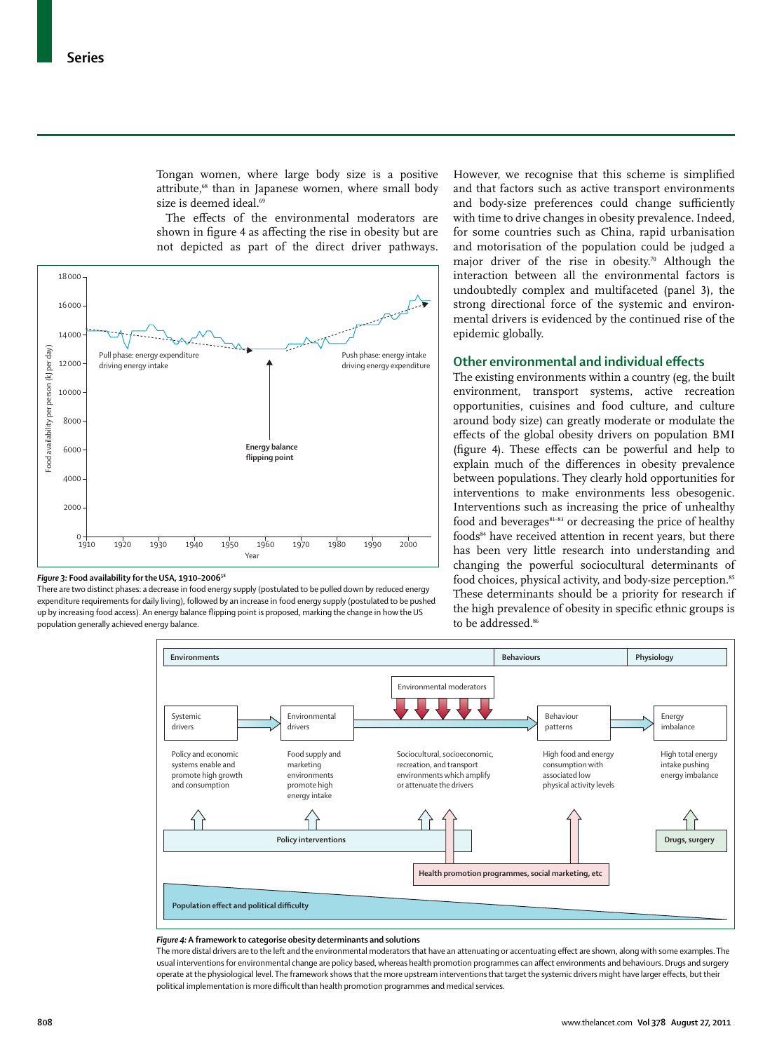Tongan women, where large body size is a positive attribute,<sup>68</sup> than in Japanese women, where small body size is deemed ideal.<sup>69</sup>

The effects of the environmental moderators are shown in figure 4 as affecting the rise in obesity but are not depicted as part of the direct driver pathways.



#### *Figure 3:* **Food availability for the USA, 1910–200658**

There are two distinct phases: a decrease in food energy supply (postulated to be pulled down by reduced energy expenditure requirements for daily living), followed by an increase in food energy supply (postulated to be pushed up by increasing food access). An energy balance flipping point is proposed, marking the change in how the US population generally achieved energy balance.

However, we recognise that this scheme is simplified and that factors such as active transport environments and body-size preferences could change sufficiently with time to drive changes in obesity prevalence. Indeed, for some countries such as China, rapid urbanisation and motorisation of the population could be judged a major driver of the rise in obesity.<sup>70</sup> Although the interaction between all the environmental factors is undoubtedly complex and multifaceted (panel 3), the strong directional force of the systemic and environmental drivers is evidenced by the continued rise of the epidemic globally.

## **Other environmental and individual effects**

The existing environments within a country (eg, the built environment, transport systems, active recreation opportunities, cuisines and food culture, and culture around body size) can greatly moderate or modulate the effects of the global obesity drivers on population BMI (figure 4). These effects can be powerful and help to explain much of the differences in obesity prevalence between populations. They clearly hold opportunities for interventions to make environments less obesogenic. Interventions such as increasing the price of unhealthy food and beverages $s_{1-83}$  or decreasing the price of healthy foods<sup>84</sup> have received attention in recent years, but there has been very little research into understanding and changing the powerful sociocultural determinants of food choices, physical activity, and body-size perception.<sup>85</sup> These determinants should be a priority for research if the high prevalence of obesity in specific ethnic groups is to be addressed.<sup>86</sup>



#### *Figure 4:* **A framework to categorise obesity determinants and solutions**

The more distal drivers are to the left and the environmental moderators that have an attenuating or accentuating effect are shown, along with some examples. The usual interventions for environmental change are policy based, whereas health promotion programmes can affect environments and behaviours. Drugs and surgery operate at the physiological level. The framework shows that the more upstream interventions that target the systemic drivers might have larger effects, but their political implementation is more difficult than health promotion programmes and medical services.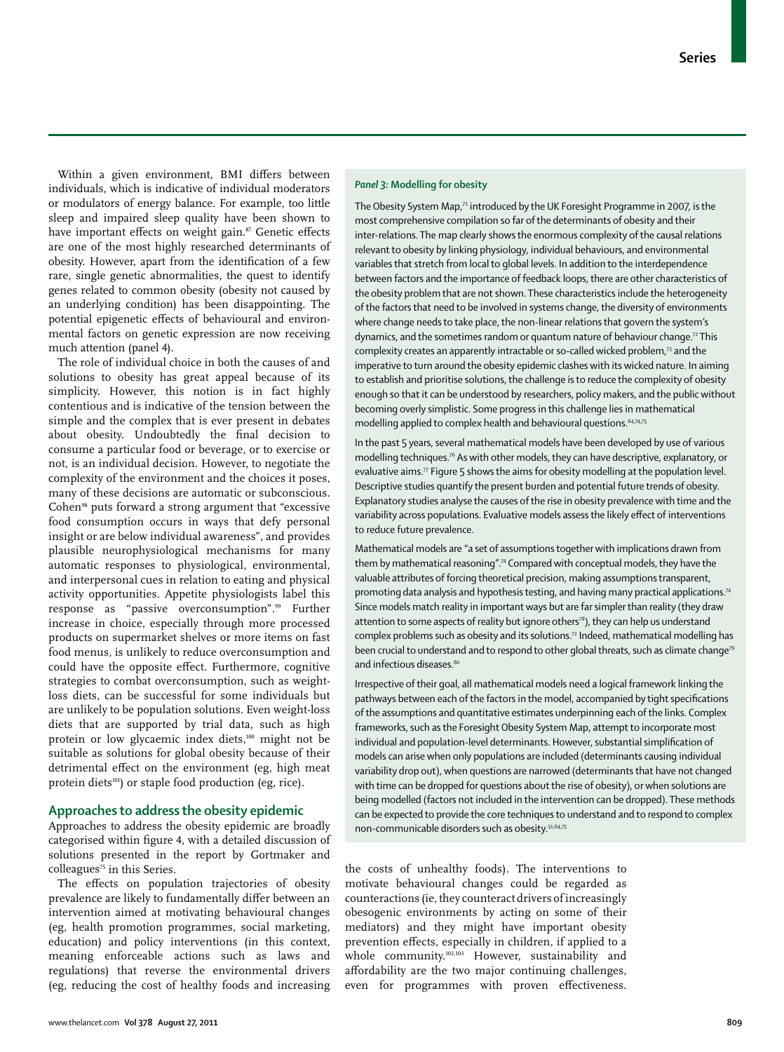Within a given environment, BMI differs between individuals, which is indicative of individual moderators or modulators of energy balance. For example, too little sleep and impaired sleep quality have been shown to have important effects on weight gain.<sup>87</sup> Genetic effects are one of the most highly researched determinants of obesity. However, apart from the identification of a few rare, single genetic abnormalities, the quest to identify genes related to common obesity (obesity not caused by an underlying condition) has been disappointing. The potential epigenetic effects of behavioural and environmental factors on genetic expression are now receiving much attention (panel 4).

The role of individual choice in both the causes of and solutions to obesity has great appeal because of its simplicity. However, this notion is in fact highly contentious and is indicative of the tension between the simple and the complex that is ever present in debates about obesity. Undoubtedly the final decision to consume a particular food or beverage, or to exercise or not, is an individual decision. However, to negotiate the complexity of the environment and the choices it poses, many of these decisions are automatic or subconscious. Cohen<sup>98</sup> puts forward a strong argument that "excessive food consumption occurs in ways that defy personal insight or are below individual awareness", and provides plausible neurophysiological mechanisms for many automatic responses to physiological, environmental, and interpersonal cues in relation to eating and physical activity opportunities. Appetite physiologists label this response as "passive overconsumption".99 Further increase in choice, especially through more processed products on supermarket shelves or more items on fast food menus, is unlikely to reduce overconsumption and could have the opposite effect. Furthermore, cognitive strategies to combat overconsumption, such as weightloss diets, can be successful for some individuals but are unlikely to be population solutions. Even weight-loss diets that are supported by trial data, such as high protein or low glycaemic index diets,<sup>100</sup> might not be suitable as solutions for global obesity because of their detrimental effect on the environment (eg, high meat protein diets<sup>101</sup>) or staple food production (eg, rice).

## **Approaches to address the obesity epidemic**

Approaches to address the obesity epidemic are broadly categorised within figure 4, with a detailed discussion of solutions presented in the report by Gortmaker and colleagues<sup>75</sup> in this Series.

The effects on population trajectories of obesity prevalence are likely to fundamentally differ between an intervention aimed at motivating behavioural changes (eg, health promotion programmes, social marketing, education) and policy interventions (in this context, meaning enforceable actions such as laws and regulations) that reverse the environmental drivers (eg, reducing the cost of healthy foods and increasing

#### *Panel 3:* **Modelling for obesity**

The Obesity System Map,<sup>71</sup> introduced by the UK Foresight Programme in 2007, is the most comprehensive compilation so far of the determinants of obesity and their inter-relations. The map clearly shows the enormous complexity of the causal relations relevant to obesity by linking physiology, individual behaviours, and environmental variables that stretch from local to global levels. In addition to the interdependence between factors and the importance of feedback loops, there are other characteristics of the obesity problem that are not shown. These characteristics include the heterogeneity of the factors that need to be involved in systems change, the diversity of environments where change needs to take place, the non-linear relations that govern the system's dynamics, and the sometimes random or quantum nature of behaviour change.<sup>72</sup> This complexity creates an apparently intractable or so-called wicked problem,73 and the imperative to turn around the obesity epidemic clashes with its wicked nature. In aiming to establish and prioritise solutions, the challenge is to reduce the complexity of obesity enough so that it can be understood by researchers, policy makers, and the public without becoming overly simplistic. Some progress in this challenge lies in mathematical modelling applied to complex health and behavioural questions. 64,74,75

In the past 5 years, several mathematical models have been developed by use of various modelling techniques.<sup>76</sup> As with other models, they can have descriptive, explanatory, or evaluative aims.<sup>77</sup> Figure 5 shows the aims for obesity modelling at the population level. Descriptive studies quantify the present burden and potential future trends of obesity. Explanatory studies analyse the causes of the rise in obesity prevalence with time and the variability across populations. Evaluative models assess the likely effect of interventions to reduce future prevalence.

Mathematical models are "a set of assumptions together with implications drawn from them by mathematical reasoning".<sup>74</sup> Compared with conceptual models, they have the valuable attributes of forcing theoretical precision, making assumptions transparent, promoting data analysis and hypothesis testing, and having many practical applications.<sup>74</sup> Since models match reality in important ways but are far simpler than reality (they draw attention to some aspects of reality but ignore others<sup>78</sup>), they can help us understand complex problems such as obesity and its solutions.<sup>72</sup> Indeed, mathematical modelling has been crucial to understand and to respond to other global threats, such as climate change<sup>79</sup> and infectious diseases.<sup>80</sup>

Irrespective of their goal, all mathematical models need a logical framework linking the pathways between each of the factors in the model, accompanied by tight specifications of the assumptions and quantitative estimates underpinning each of the links. Complex frameworks, such as the Foresight Obesity System Map, attempt to incorporate most individual and population-level determinants. However, substantial simplification of models can arise when only populations are included (determinants causing individual variability drop out), when questions are narrowed (determinants that have not changed with time can be dropped for questions about the rise of obesity), or when solutions are being modelled (factors not included in the intervention can be dropped). These methods can be expected to provide the core techniques to understand and to respond to complex non-communicable disorders such as obesity.51,64,75

the costs of unhealthy foods). The interventions to motivate behavioural changes could be regarded as counteractions (ie, they counteract drivers of increasingly obesogenic environments by acting on some of their mediators) and they might have important obesity prevention effects, especially in children, if applied to a whole community.<sup>102,103</sup> However, sustainability and affordability are the two major continuing challenges, even for programmes with proven effectiveness.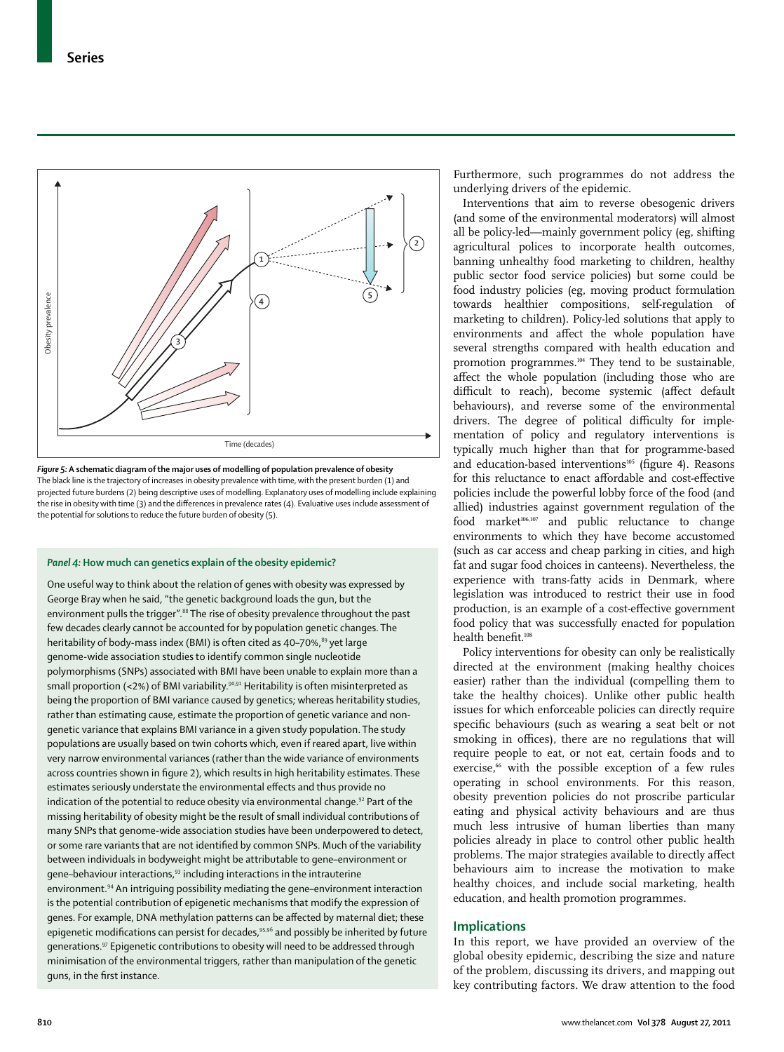

*Figure 5:* **A schematic diagram of the major uses of modelling of population prevalence of obesity** The black line is the trajectory of increases in obesity prevalence with time, with the present burden (1) and projected future burdens (2) being descriptive uses of modelling. Explanatory uses of modelling include explaining the rise in obesity with time (3) and the differences in prevalence rates (4). Evaluative uses include assessment of the potential for solutions to reduce the future burden of obesity (5).

#### *Panel 4:* **How much can genetics explain of the obesity epidemic?**

One useful way to think about the relation of genes with obesity was expressed by George Bray when he said, "the genetic background loads the gun, but the environment pulls the trigger".<sup>88</sup> The rise of obesity prevalence throughout the past few decades clearly cannot be accounted for by population genetic changes. The heritability of body-mass index (BMI) is often cited as 40-70%,<sup>89</sup> yet large genome-wide association studies to identify common single nucleotide polymorphisms (SNPs) associated with BMI have been unable to explain more than a small proportion (<2%) of BMI variability.<sup>90,91</sup> Heritability is often misinterpreted as being the proportion of BMI variance caused by genetics; whereas heritability studies, rather than estimating cause, estimate the proportion of genetic variance and nongenetic variance that explains BMI variance in a given study population. The study populations are usually based on twin cohorts which, even if reared apart, live within very narrow environmental variances (rather than the wide variance of environments across countries shown in fiqure 2), which results in high heritability estimates. These estimates seriously understate the environmental effects and thus provide no indication of the potential to reduce obesity via environmental change.<sup>92</sup> Part of the missing heritability of obesity might be the result of small individual contributions of many SNPs that genome-wide association studies have been underpowered to detect, or some rare variants that are not identified by common SNPs. Much of the variability between individuals in bodyweight might be attributable to gene–environment or gene-behaviour interactions,<sup>93</sup> including interactions in the intrauterine environment.<sup>94</sup> An intriguing possibility mediating the gene-environment interaction is the potential contribution of epigenetic mechanisms that modify the expression of genes. For example, DNA methylation patterns can be affected by maternal diet; these epigenetic modifications can persist for decades,<sup>95,96</sup> and possibly be inherited by future generations.97 Epigenetic contributions to obesity will need to be addressed through minimisation of the environmental triggers, rather than manipulation of the genetic guns, in the first instance.

Furthermore, such programmes do not address the underlying drivers of the epidemic.

Interventions that aim to reverse obesogenic drivers (and some of the environmental moderators) will almost all be policy-led—mainly government policy (eg, shifting agricultural polices to incorporate health outcomes, banning unhealthy food marketing to children, healthy public sector food service policies) but some could be food industry policies (eg, moving product formulation towards healthier compositions, self-regulation of marketing to children). Policy-led solutions that apply to environments and affect the whole population have several strengths compared with health education and promotion programmes.104 They tend to be sustainable, affect the whole population (including those who are difficult to reach), become systemic (affect default behaviours), and reverse some of the environmental drivers. The degree of political difficulty for implementation of policy and regulatory interventions is typically much higher than that for programme-based and education-based interventions<sup>105</sup> (figure 4). Reasons for this reluctance to enact affordable and cost-effective policies include the powerful lobby force of the food (and allied) industries against government regulation of the food market<sup>106,107</sup> and public reluctance to change environments to which they have become accustomed (such as car access and cheap parking in cities, and high fat and sugar food choices in canteens). Nevertheless, the experience with trans-fatty acids in Denmark, where legislation was introduced to restrict their use in food production, is an example of a cost-effective government food policy that was successfully enacted for population health benefit.<sup>108</sup>

Policy interventions for obesity can only be realistically directed at the environment (making healthy choices easier) rather than the individual (compelling them to take the healthy choices). Unlike other public health issues for which enforceable policies can directly require specific behaviours (such as wearing a seat belt or not smoking in offices), there are no regulations that will require people to eat, or not eat, certain foods and to exercise,<sup>66</sup> with the possible exception of a few rules operating in school environments. For this reason, obesity prevention policies do not proscribe particular eating and physical activity behaviours and are thus much less intrusive of human liberties than many policies already in place to control other public health problems. The major strategies available to directly affect behaviours aim to increase the motivation to make healthy choices, and include social marketing, health education, and health promotion programmes.

## **Implications**

In this report, we have provided an overview of the global obesity epidemic, describing the size and nature of the problem, discussing its drivers, and mapping out key contributing factors. We draw attention to the food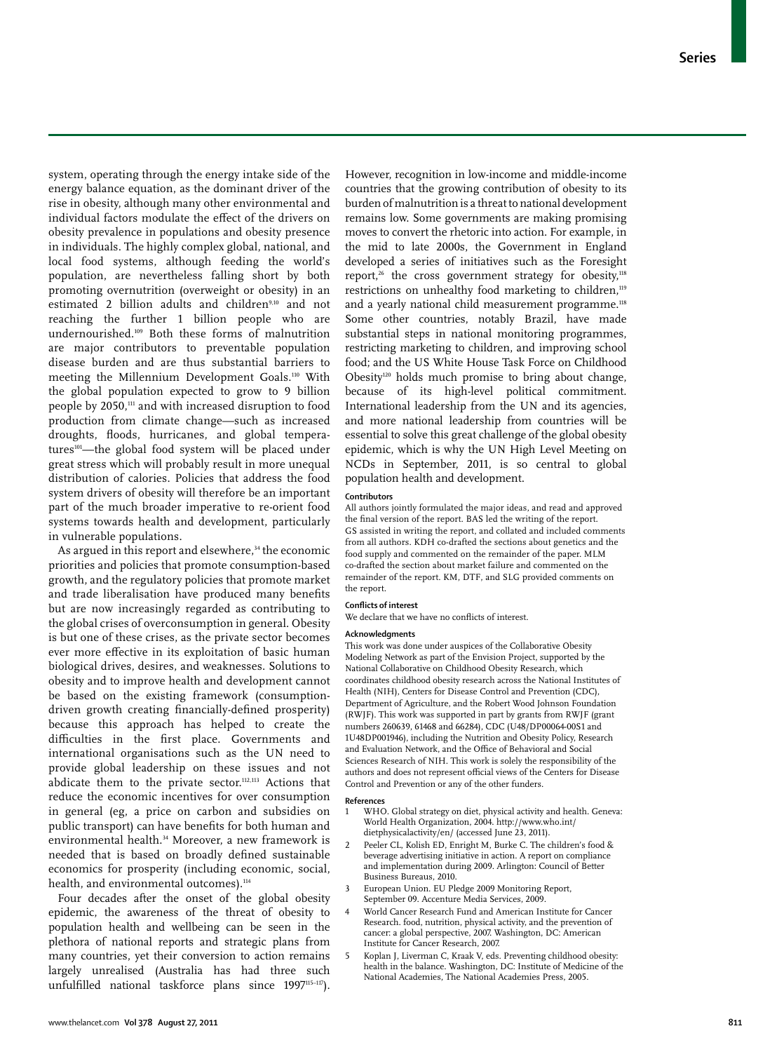system, operating through the energy intake side of the energy balance equation, as the dominant driver of the rise in obesity, although many other environmental and individual factors modulate the effect of the drivers on obesity prevalence in populations and obesity presence in individuals. The highly complex global, national, and local food systems, although feeding the world's population, are nevertheless falling short by both promoting overnutrition (overweight or obesity) in an estimated 2 billion adults and children<sup>9,10</sup> and not reaching the further 1 billion people who are undernourished.109 Both these forms of malnutrition are major contributors to preventable population disease burden and are thus substantial barriers to meeting the Millennium Development Goals.110 With the global population expected to grow to 9 billion people by 2050,<sup>111</sup> and with increased disruption to food production from climate change—such as increased droughts, floods, hurricanes, and global temperatures<sup>101</sup>—the global food system will be placed under great stress which will probably result in more unequal distribution of calories. Policies that address the food system drivers of obesity will therefore be an important part of the much broader imperative to re-orient food systems towards health and development, particularly in vulnerable populations.

As argued in this report and elsewhere,<sup>34</sup> the economic priorities and policies that promote consumption-based growth, and the regulatory policies that promote market and trade liberalisation have produced many benefits but are now increasingly regarded as contributing to the global crises of overconsumption in general. Obesity is but one of these crises, as the private sector becomes ever more effective in its exploitation of basic human biological drives, desires, and weaknesses. Solutions to obesity and to improve health and development cannot be based on the existing framework (consumptiondriven growth creating financially-defined prosperity) because this approach has helped to create the difficulties in the first place. Governments and international organisations such as the UN need to provide global leadership on these issues and not abdicate them to the private sector.112,113 Actions that reduce the economic incentives for over consumption in general (eg, a price on carbon and subsidies on public transport) can have benefits for both human and environmental health.<sup>34</sup> Moreover, a new framework is needed that is based on broadly defined sustainable economics for prosperity (including economic, social, health, and environmental outcomes).<sup>114</sup>

Four decades after the onset of the global obesity epidemic, the awareness of the threat of obesity to population health and wellbeing can be seen in the plethora of national reports and strategic plans from many countries, yet their conversion to action remains largely unrealised (Australia has had three such unfulfilled national taskforce plans since 1997<sup>115–117</sup>). However, recognition in low-income and middle-income countries that the growing contribution of obesity to its burden of malnutrition is a threat to national development remains low. Some governments are making promising moves to convert the rhetoric into action. For example, in the mid to late 2000s, the Government in England developed a series of initiatives such as the Foresight report, $26$  the cross government strategy for obesity, $118$ restrictions on unhealthy food marketing to children,<sup>119</sup> and a yearly national child measurement programme.<sup>118</sup> Some other countries, notably Brazil, have made substantial steps in national monitoring programmes, restricting marketing to children, and improving school food; and the US White House Task Force on Childhood Obesity120 holds much promise to bring about change, because of its high-level political commitment. International leadership from the UN and its agencies, and more national leadership from countries will be essential to solve this great challenge of the global obesity epidemic, which is why the UN High Level Meeting on NCDs in September, 2011, is so central to global population health and development.

#### **Contributors**

All authors jointly formulated the major ideas, and read and approved the final version of the report. BAS led the writing of the report. GS assisted in writing the report, and collated and included comments from all authors. KDH co-drafted the sections about genetics and the food supply and commented on the remainder of the paper. MLM co-drafted the section about market failure and commented on the remainder of the report. KM, DTF, and SLG provided comments on the report.

### **Conflicts of interest**

We declare that we have no conflicts of interest.

#### **Acknowledgments**

This work was done under auspices of the Collaborative Obesity Modeling Network as part of the Envision Project, supported by the National Collaborative on Childhood Obesity Research, which coordinates childhood obesity research across the National Institutes of Health (NIH), Centers for Disease Control and Prevention (CDC), Department of Agriculture, and the Robert Wood Johnson Foundation (RWJF). This work was supported in part by grants from RWJF (grant numbers 260639, 61468 and 66284), CDC (U48/DP00064-00S1 and 1U48DP001946), including the Nutrition and Obesity Policy, Research and Evaluation Network, and the Office of Behavioral and Social Sciences Research of NIH. This work is solely the responsibility of the authors and does not represent official views of the Centers for Disease Control and Prevention or any of the other funders.

#### **References**

- WHO. Global strategy on diet, physical activity and health. Geneva: World Health Organization, 2004. http://www.who.int/ dietphysicalactivity/en/ (accessed June 23, 2011).
- 2 Peeler CL, Kolish ED, Enright M, Burke C. The children's food & beverage advertising initiative in action. A report on compliance and implementation during 2009. Arlington: Council of Better Business Bureaus, 2010.
- European Union. EU Pledge 2009 Monitoring Report, September 09. Accenture Media Services, 2009.
- 4 World Cancer Research Fund and American Institute for Cancer Research. food, nutrition, physical activity, and the prevention of cancer: a global perspective, 2007. Washington, DC: American Institute for Cancer Research, 2007.
- 5 Koplan J, Liverman C, Kraak V, eds. Preventing childhood obesity: health in the balance. Washington, DC: Institute of Medicine of the National Academies, The National Academies Press, 2005.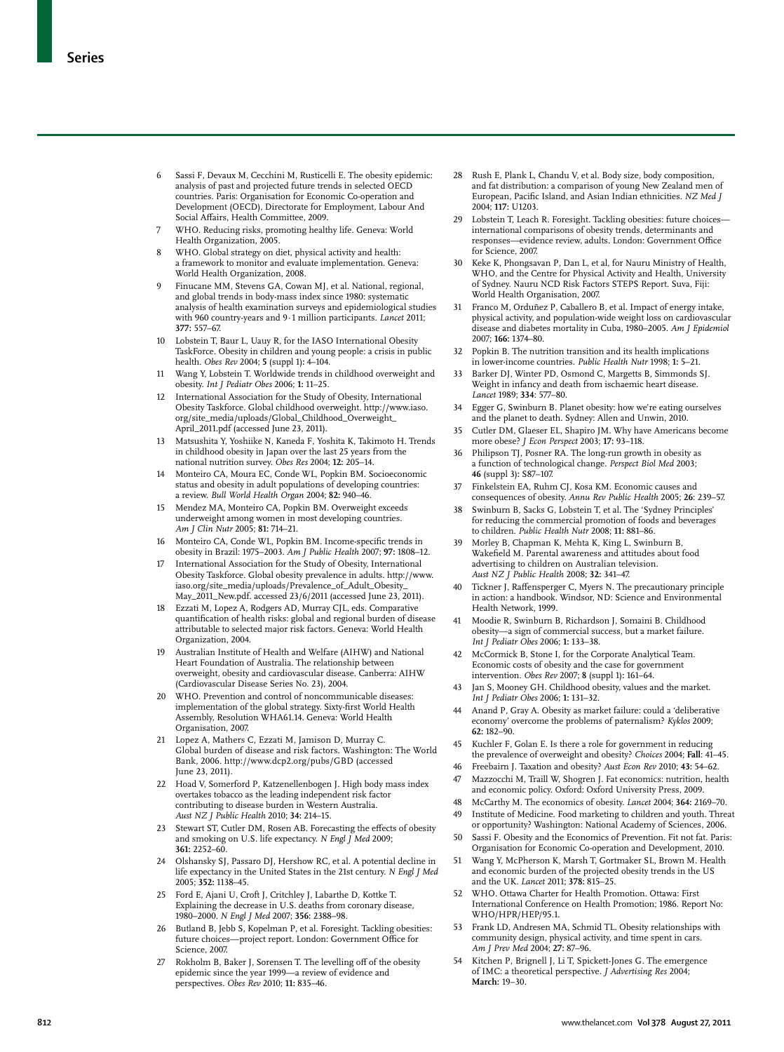- 6 Sassi F, Devaux M, Cecchini M, Rusticelli E. The obesity epidemic: analysis of past and projected future trends in selected OECD countries. Paris: Organisation for Economic Co-operation and Development (OECD), Directorate for Employment, Labour And Social Affairs, Health Committee, 2009.
- 7 WHO. Reducing risks, promoting healthy life. Geneva: World Health Organization, 2005.
- WHO. Global strategy on diet, physical activity and health: a framework to monitor and evaluate implementation. Geneva: World Health Organization, 2008.
- 9 Finucane MM, Stevens GA, Cowan MJ, et al. National, regional, and global trends in body-mass index since 1980: systematic analysis of health examination surveys and epidemiological studies with 960 country-years and 9·1 million participants. *Lancet* 2011; **377:** 557–67.
- 10 Lobstein T, Baur L, Uauy R, for the IASO International Obesity TaskForce. Obesity in children and young people: a crisis in public health. *Obes Rev* 2004; **5** (suppl 1)**:** 4–104.
- 11 Wang Y, Lobstein T. Worldwide trends in childhood overweight and obesity. *Int J Pediatr Obes* 2006; **1:** 11–25.
- 12 International Association for the Study of Obesity, International Obesity Taskforce. Global childhood overweight. http://www.iaso. org/site\_media/uploads/Global\_Childhood\_Overweight\_ April\_2011.pdf (accessed June 23, 2011).
- 13 Matsushita Y, Yoshiike N, Kaneda F, Yoshita K, Takimoto H. Trends in childhood obesity in Japan over the last 25 years from the national nutrition survey. *Obes Res* 2004; **12:** 205–14.
- 14 Monteiro CA, Moura EC, Conde WL, Popkin BM. Socioeconomic status and obesity in adult populations of developing countries: a review. *Bull World Health Organ* 2004; **82:** 940–46.
- 15 Mendez MA, Monteiro CA, Popkin BM. Overweight exceeds underweight among women in most developing countries. *Am J Clin Nutr* 2005; **81:** 714–21.
- 16 Monteiro CA, Conde WL, Popkin BM. Income-specifi c trends in obesity in Brazil: 1975–2003. *Am J Public Health* 2007; **97:** 1808–12.
- International Association for the Study of Obesity, International Obesity Taskforce. Global obesity prevalence in adults. http://www. iaso.org/site\_media/uploads/Prevalence\_of\_Adult\_Obesity\_ May\_2011\_New.pdf. accessed 23/6/2011 (accessed June 23, 2011).
- 18 Ezzati M, Lopez A, Rodgers AD, Murray CJL, eds. Comparative quantification of health risks: global and regional burden of disease attributable to selected major risk factors. Geneva: World Health Organization, 2004.
- Australian Institute of Health and Welfare (AIHW) and National Heart Foundation of Australia. The relationship between overweight, obesity and cardiovascular disease. Canberra: AIHW (Cardiovascular Disease Series No. 23), 2004.
- 20 WHO. Prevention and control of noncommunicable diseases: implementation of the global strategy. Sixty-first World Health Assembly, Resolution WHA61.14. Geneva: World Health Organisation, 2007.
- Lopez A, Mathers C, Ezzati M, Jamison D, Murray C. Global burden of disease and risk factors. Washington: The World Bank, 2006. http://www.dcp2.org/pubs/GBD (accessed June 23, 2011).
- 22 Hoad V, Somerford P, Katzenellenbogen J. High body mass index overtakes tobacco as the leading independent risk factor contributing to disease burden in Western Australia. *Aust NZ J Public Health* 2010; **34:** 214–15.
- 23 Stewart ST, Cutler DM, Rosen AB. Forecasting the effects of obesity and smoking on U.S. life expectancy. *N Engl J Med* 2009; **361:** 2252–60.
- 24 Olshansky SJ, Passaro DJ, Hershow RC, et al. A potential decline in life expectancy in the United States in the 21st century. *N Engl J Med* 2005; **352:** 1138–45.
- 25 Ford E, Ajani U, Croft J, Critchley J, Labarthe D, Kottke T. Explaining the decrease in U.S. deaths from coronary disease, 1980–2000. *N Engl J Med* 2007; **356:** 2388–98.
- 26 Butland B, Jebb S, Kopelman P, et al. Foresight. Tackling obesities: future choices—project report. London: Government Office for Science, 2007.
- 27 Rokholm B, Baker J, Sorensen T. The levelling off of the obesity epidemic since the year 1999—a review of evidence and perspectives. *Obes Rev* 2010; **11:** 835–46.
- 28 Rush E, Plank L, Chandu V, et al. Body size, body composition, and fat distribution: a comparison of young New Zealand men of European, Pacific Island, and Asian Indian ethnicities. *NZ Med J* 2004; **117:** U1203.
- 29 Lobstein T, Leach R. Foresight. Tackling obesities: future choices international comparisons of obesity trends, determinants and responses—evidence review, adults. London: Government Office for Science, 2007.
- Keke K, Phongsavan P, Dan L, et al, for Nauru Ministry of Health, WHO, and the Centre for Physical Activity and Health, University of Sydney. Nauru NCD Risk Factors STEPS Report. Suva, Fiji: World Health Organisation, 2007.
- 31 Franco M, Orduñez P, Caballero B, et al. Impact of energy intake, physical activity, and population-wide weight loss on cardiovascular disease and diabetes mortality in Cuba, 1980–2005. *Am J Epidemiol* 2007; **166:** 1374–80.
- 32 Popkin B. The nutrition transition and its health implications in lower-income countries. *Public Health Nutr* 1998; **1:** 5–21.
- 33 Barker DJ, Winter PD, Osmond C, Margetts B, Simmonds SJ. Weight in infancy and death from ischaemic heart disease. *Lancet* 1989; **334**: 577–80.
- 34 Egger G, Swinburn B. Planet obesity: how we're eating ourselves and the planet to death. Sydney: Allen and Unwin, 2010.
- 35 Cutler DM, Glaeser EL, Shapiro JM. Why have Americans become more obese? *J Econ Perspect* 2003; **17:** 93–118.
- 36 Philipson TJ, Posner RA. The long-run growth in obesity as a function of technological change. *Perspect Biol Med* 2003; **46** (suppl 3)**:** S87–107.
- 37 Finkelstein EA, Ruhm CJ, Kosa KM. Economic causes and consequences of obesity. *Annu Rev Public Health* 2005; **26**: 239–57.
- 38 Swinburn B, Sacks G, Lobstein T, et al. The 'Sydney Principles' for reducing the commercial promotion of foods and beverages to children. *Public Health Nutr* 2008; **11:** 881–86.
- Morley B, Chapman K, Mehta K, King L, Swinburn B, Wakefield M. Parental awareness and attitudes about food advertising to children on Australian television. *Aust NZ J Public Health* 2008; **32:** 341–47.
- 40 Tickner J, Raffensperger C, Myers N. The precautionary principle in action: a handbook. Windsor, ND: Science and Environmental Health Network, 1999.
- 41 Moodie R, Swinburn B, Richardson J, Somaini B. Childhood obesity—a sign of commercial success, but a market failure. *Int J Pediatr Obes* 2006; **1:** 133–38.
- McCormick B, Stone I, for the Corporate Analytical Team. Economic costs of obesity and the case for government intervention. *Obes Rev* 2007; **8** (suppl 1)**:** 161–64.
- 43 Jan S, Mooney GH. Childhood obesity, values and the market. *Int J Pediatr Obes* 2006; **1:** 131–32.
- 44 Anand P, Gray A. Obesity as market failure: could a 'deliberative economy' overcome the problems of paternalism? *Kyklos* 2009; **62:** 182–90.
- 45 Kuchler F, Golan E. Is there a role for government in reducing the prevalence of overweight and obesity? *Choices* 2004; **Fall**: 41–45.
- 46 Freebairn J. Taxation and obesity? *Aust Econ Rev* 2010; **43:** 54–62. 47 Mazzocchi M, Traill W, Shogren J. Fat economics: nutrition, health
- and economic policy. Oxford: Oxford University Press, 2009. 48 McCarthy M. The economics of obesity. *Lancet* 2004; **364:** 2169–70.
- 49 Institute of Medicine. Food marketing to children and youth. Threat or opportunity? Washington: National Academy of Sciences, 2006.
- 50 Sassi F. Obesity and the Economics of Prevention. Fit not fat. Paris: Organisation for Economic Co-operation and Development, 2010.
- 51 Wang Y, McPherson K, Marsh T, Gortmaker SL, Brown M. Health and economic burden of the projected obesity trends in the US and the UK. *Lancet* 2011; **378:** 815–25.
- 52 WHO. Ottawa Charter for Health Promotion. Ottawa: First International Conference on Health Promotion; 1986. Report No: WHO/HPR/HEP/95.1.
- 53 Frank LD, Andresen MA, Schmid TL. Obesity relationships with community design, physical activity, and time spent in cars. *Am J Prev Med* 2004; **27:** 87–96.
- Kitchen P, Brignell J, Li T, Spickett-Jones G. The emergence of IMC: a theoretical perspective. *J Advertising Res* 2004; **March:** 19–30.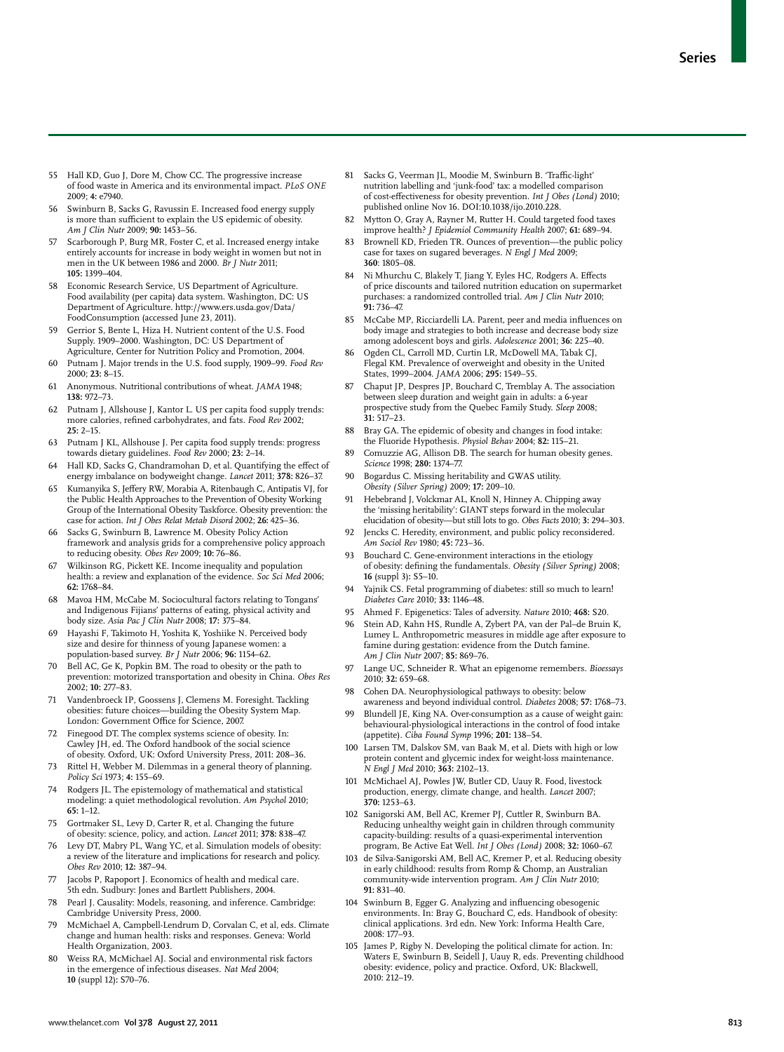- 55 Hall KD, Guo J, Dore M, Chow CC. The progressive increase of food waste in America and its environmental impact. *PLoS ONE* 2009; **4:** e7940.
- Swinburn B, Sacks G, Ravussin E. Increased food energy supply is more than sufficient to explain the US epidemic of obesity. *Am J Clin Nutr* 2009; **90:** 1453–56.
- 57 Scarborough P, Burg MR, Foster C, et al. Increased energy intake entirely accounts for increase in body weight in women but not in men in the UK between 1986 and 2000. *Br J Nutr* 2011; **105:** 1399–404.
- 58 Economic Research Service, US Department of Agriculture. Food availability (per capita) data system. Washington, DC: US Department of Agriculture. http://www.ers.usda.gov/Data/ FoodConsumption (accessed June 23, 2011).
- 59 Gerrior S, Bente L, Hiza H. Nutrient content of the U.S. Food Supply. 1909–2000. Washington, DC: US Department of Agriculture, Center for Nutrition Policy and Promotion, 2004.
- 60 Putnam J. Major trends in the U.S. food supply, 1909–99. *Food Rev* 2000; **23:** 8–15.
- 61 Anonymous. Nutritional contributions of wheat. *JAMA* 1948; **138:** 972–73.
- 62 Putnam J, Allshouse J, Kantor L. US per capita food supply trends: more calories, refined carbohydrates, and fats. *Food Rev* 2002; **25:** 2–15.
- 63 Putnam J KL, Allshouse J. Per capita food supply trends: progress towards dietary guidelines. *Food Rev* 2000; **23:** 2–14.
- 64 Hall KD, Sacks G, Chandramohan D, et al. Quantifying the effect of energy imbalance on bodyweight change. *Lancet* 2011; **378:** 826–37.
- 65 Kumanyika S, Jeffery RW, Morabia A, Ritenbaugh C, Antipatis VJ, for the Public Health Approaches to the Prevention of Obesity Working Group of the International Obesity Taskforce. Obesity prevention: the case for action. *Int J Obes Relat Metab Disord* 2002; **26:** 425–36.
- Sacks G, Swinburn B, Lawrence M. Obesity Policy Action framework and analysis grids for a comprehensive policy approach to reducing obesity. *Obes Rev* 2009; **10:** 76–86.
- 67 Wilkinson RG, Pickett KE. Income inequality and population health: a review and explanation of the evidence. *Soc Sci Med* 2006; **62:** 1768–84.
- 68 Mavoa HM, McCabe M. Sociocultural factors relating to Tongans' and Indigenous Fijians' patterns of eating, physical activity and body size. *Asia Pac J Clin Nutr* 2008; **17:** 375–84.
- 69 Hayashi F, Takimoto H, Yoshita K, Yoshiike N. Perceived body size and desire for thinness of young Japanese women: a population-based survey. *Br J Nutr* 2006; **96:** 1154–62.
- Bell AC, Ge K, Popkin BM. The road to obesity or the path to prevention: motorized transportation and obesity in China. *Obes Res* 2002; **10:** 277–83.
- 71 Vandenbroeck IP, Goossens J, Clemens M. Foresight. Tackling obesities: future choices—building the Obesity System Map. London: Government Office for Science, 2007.
- 72 Finegood DT. The complex systems science of obesity. In: Cawley JH, ed. The Oxford handbook of the social science of obesity. Oxford, UK: Oxford University Press, 2011: 208–36.
- 73 Rittel H, Webber M. Dilemmas in a general theory of planning. *Policy Sci* 1973; **4:** 155–69.
- Rodgers IL. The epistemology of mathematical and statistical modeling: a quiet methodological revolution. *Am Psychol* 2010; **65:** 1–12.
- 75 Gortmaker SL, Levy D, Carter R, et al. Changing the future of obesity: science, policy, and action. *Lancet* 2011; **378:** 838–47.
- 76 Levy DT, Mabry PL, Wang YC, et al. Simulation models of obesity: a review of the literature and implications for research and policy. *Obes Rev* 2010; **12:** 387–94.
- Jacobs P, Rapoport J. Economics of health and medical care. 5th edn. Sudbury: Jones and Bartlett Publishers, 2004.
- 78 Pearl J. Causality: Models, reasoning, and inference. Cambridge: Cambridge University Press, 2000.
- McMichael A, Campbell-Lendrum D, Corvalan C, et al, eds. Climate change and human health: risks and responses. Geneva: World Health Organization, 2003.
- 80 Weiss RA, McMichael AJ. Social and environmental risk factors in the emergence of infectious diseases. *Nat Med* 2004; **10** (suppl 12)**:** S70–76.
- 81 Sacks G, Veerman JL, Moodie M, Swinburn B. 'Traffic-light' nutrition labelling and 'junk-food' tax: a modelled comparison of cost-effectiveness for obesity prevention. *Int J Obes (Lond)* 2010; published online Nov 16. DOI:10.1038/ijo.2010.228.
- 82 Mytton O, Gray A, Rayner M, Rutter H. Could targeted food taxes improve health? *J Epidemiol Community Health* 2007; **61:** 689–94.
- 83 Brownell KD, Frieden TR. Ounces of prevention—the public policy case for taxes on sugared beverages. *N Engl J Med* 2009; **360**: 1805–08.
- 84 Ni Mhurchu C, Blakely T, Jiang Y, Eyles HC, Rodgers A. Effects of price discounts and tailored nutrition education on supermarket purchases: a randomized controlled trial. *Am J Clin Nutr* 2010; **91:** 736–47.
- 85 McCabe MP, Ricciardelli LA. Parent, peer and media influences on body image and strategies to both increase and decrease body size among adolescent boys and girls. *Adolescence* 2001; **36:** 225–40.
- 86 Ogden CL, Carroll MD, Curtin LR, McDowell MA, Tabak CJ, Flegal KM. Prevalence of overweight and obesity in the United States, 1999–2004. *JAMA* 2006; **295:** 1549–55.
- 87 Chaput JP, Despres JP, Bouchard C, Tremblay A. The association between sleep duration and weight gain in adults: a 6-year prospective study from the Quebec Family Study. *Sleep* 2008; **31:** 517–23.
- 88 Bray GA. The epidemic of obesity and changes in food intake: the Fluoride Hypothesis. *Physiol Behav* 2004; **82:** 115–21.
- 89 Comuzzie AG, Allison DB. The search for human obesity genes. *Science* 1998; **280:** 1374–77.
- 90 Bogardus C. Missing heritability and GWAS utility. *Obesity (Silver Spring)* 2009; **17:** 209–10.
- 91 Hebebrand J, Volckmar AL, Knoll N, Hinney A. Chipping away the 'missing heritability': GIANT steps forward in the molecular elucidation of obesity—but still lots to go. *Obes Facts* 2010; **3:** 294–303.
- 92 Jencks C. Heredity, environment, and public policy reconsidered. *Am Sociol Rev* 1980; **45:** 723–36.
- 93 Bouchard C. Gene-environment interactions in the etiology of obesity: defining the fundamentals. Obesity (Silver Spring) 2008; **16** (suppl 3)**:** S5–10.
- 94 Yajnik CS. Fetal programming of diabetes: still so much to learn! *Diabetes Care* 2010; **33:** 1146–48.
- 95 Ahmed F. Epigenetics: Tales of adversity. *Nature* 2010; **468:** S20.
- 96 Stein AD, Kahn HS, Rundle A, Zybert PA, van der Pal–de Bruin K, Lumey L. Anthropometric measures in middle age after exposure to famine during gestation: evidence from the Dutch famine. *Am J Clin Nutr* 2007; **85:** 869–76.
- 97 Lange UC, Schneider R. What an epigenome remembers. *Bioessays* 2010; **32:** 659–68.
- 98 Cohen DA. Neurophysiological pathways to obesity: below awareness and beyond individual control. *Diabetes* 2008; **57:** 1768–73.
- 99 Blundell JE, King NA. Over-consumption as a cause of weight gain: behavioural-physiological interactions in the control of food intake (appetite). *Ciba Found Symp* 1996; **201:** 138–54.
- 100 Larsen TM, Dalskov SM, van Baak M, et al. Diets with high or low protein content and glycemic index for weight-loss maintenance. *N Engl J Med* 2010; **363:** 2102–13.
- 101 McMichael AJ, Powles JW, Butler CD, Uauy R. Food, livestock production, energy, climate change, and health. *Lancet* 2007; **370:** 1253–63.
- 102 Sanigorski AM, Bell AC, Kremer PJ, Cuttler R, Swinburn BA. Reducing unhealthy weight gain in children through community capacity-building: results of a quasi-experimental intervention program, Be Active Eat Well. *Int J Obes (Lond)* 2008; **32:** 1060–67.
- 103 de Silva-Sanigorski AM, Bell AC, Kremer P, et al. Reducing obesity in early childhood: results from Romp & Chomp, an Australian community-wide intervention program. *Am J Clin Nutr* 2010; **91:** 831–40.
- 104 Swinburn B, Egger G. Analyzing and influencing obesogenic environments. In: Bray G, Bouchard C, eds. Handbook of obesity: clinical applications. 3rd edn. New York: Informa Health Care, 2008: 177–93.
- 105 James P, Rigby N. Developing the political climate for action. In: Waters E, Swinburn B, Seidell J, Uauy R, eds. Preventing childhood obesity: evidence, policy and practice. Oxford, UK: Blackwell, 2010: 212–19.